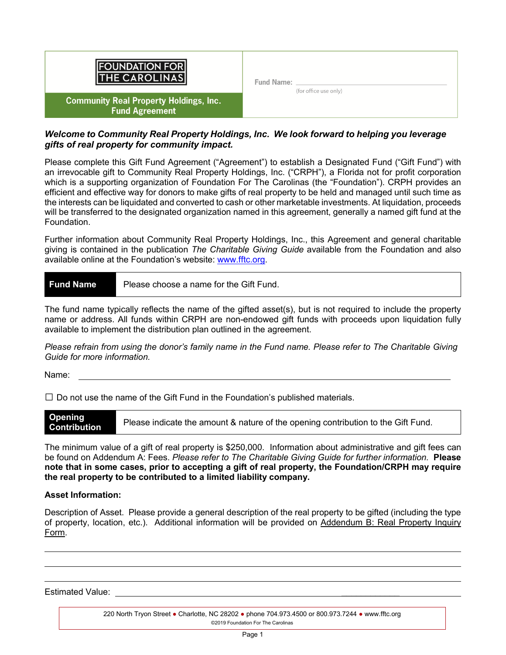| <b>FOUNDATION FOR</b><br><b>THE CAROLINAS</b>                          | Fund Name: | (for office use only) |  |
|------------------------------------------------------------------------|------------|-----------------------|--|
| <b>Community Real Property Holdings, Inc.</b><br><b>Fund Agreement</b> |            |                       |  |

# *Welcome to Community Real Property Holdings, Inc. We look forward to helping you leverage gifts of real property for community impact.*

Please complete this Gift Fund Agreement ("Agreement") to establish a Designated Fund ("Gift Fund") with an irrevocable gift to Community Real Property Holdings, Inc. ("CRPH"), a Florida not for profit corporation which is a supporting organization of Foundation For The Carolinas (the "Foundation"). CRPH provides an efficient and effective way for donors to make gifts of real property to be held and managed until such time as the interests can be liquidated and converted to cash or other marketable investments. At liquidation, proceeds will be transferred to the designated organization named in this agreement, generally a named gift fund at the Foundation.

Further information about Community Real Property Holdings, Inc., this Agreement and general charitable giving is contained in the publication *The Charitable Giving Guide* available from the Foundation and also available online at the Foundation's website: [www.fftc.org.](http://www.fftc.org/)

| <b>Fund Name</b> | Please choose a name for the Gift Fund. |
|------------------|-----------------------------------------|
|------------------|-----------------------------------------|

The fund name typically reflects the name of the gifted asset(s), but is not required to include the property name or address. All funds within CRPH are non-endowed gift funds with proceeds upon liquidation fully available to implement the distribution plan outlined in the agreement.

*Please refrain from using the donor's family name in the Fund name. Please refer to The Charitable Giving Guide for more information.*

Name:

 $\square$  Do not use the name of the Gift Fund in the Foundation's published materials.

| Opening<br><b>Contribution</b> | Please indicate the amount & nature of the opening contribution to the Gift Fund. |
|--------------------------------|-----------------------------------------------------------------------------------|
|--------------------------------|-----------------------------------------------------------------------------------|

The minimum value of a gift of real property is \$250,000. Information about administrative and gift fees can be found on Addendum A: Fees. *Please refer to The Charitable Giving Guide for further information.* **Please note that in some cases, prior to accepting a gift of real property, the Foundation/CRPH may require the real property to be contributed to a limited liability company.**

# **Asset Information:**

Description of Asset. Please provide a general description of the real property to be gifted (including the type of property, location, etc.). Additional information will be provided on Addendum B: Real Property Inquiry Form.

Estimated Value: *\_\_\_\_\_\_\_\_\_\_\_\_*

220 North Tryon Street ● Charlotte, NC 28202 ● phone 704.973.4500 or 800.973.7244 ● www.fftc.org ©2019 Foundation For The Carolinas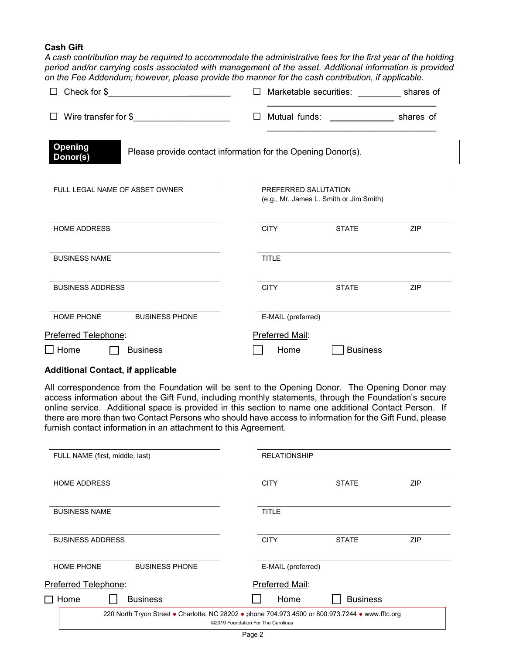# **Cash Gift**

*A cash contribution may be required to accommodate the administrative fees for the first year of the holding period and/or carrying costs associated with management of the asset. Additional information is provided on the Fee Addendum; however, please provide the manner for the cash contribution, if applicable.* 

| $\perp$                                                                             | Marketable securities: ____________ shares of                   |
|-------------------------------------------------------------------------------------|-----------------------------------------------------------------|
| Wire transfer for \$<br>$\perp$                                                     |                                                                 |
| Opening<br>Please provide contact information for the Opening Donor(s).<br>Donor(s) |                                                                 |
| FULL LEGAL NAME OF ASSET OWNER                                                      | PREFERRED SALUTATION<br>(e.g., Mr. James L. Smith or Jim Smith) |
| <b>HOME ADDRESS</b>                                                                 | <b>CITY</b><br><b>STATE</b><br>ZIP                              |
| <b>BUSINESS NAME</b>                                                                | <b>TITLE</b>                                                    |
| <b>BUSINESS ADDRESS</b>                                                             | <b>CITY</b><br><b>STATE</b><br>ZIP                              |
| HOME PHONE<br><b>BUSINESS PHONE</b>                                                 | E-MAIL (preferred)                                              |
| Preferred Telephone:                                                                | Preferred Mail:                                                 |
| $\square$ Home<br><b>Business</b><br>$\mathbf{L}$                                   | <b>Business</b><br>Home                                         |

# **Additional Contact, if applicable**

All correspondence from the Foundation will be sent to the Opening Donor. The Opening Donor may access information about the Gift Fund, including monthly statements, through the Foundation's secure online service. Additional space is provided in this section to name one additional Contact Person. If there are more than two Contact Persons who should have access to information for the Gift Fund, please furnish contact information in an attachment to this Agreement.

| FULL NAME (first, middle, last)            | <b>RELATIONSHIP</b>                                                                                                                    |
|--------------------------------------------|----------------------------------------------------------------------------------------------------------------------------------------|
| <b>HOME ADDRESS</b>                        | <b>CITY</b><br><b>ZIP</b><br><b>STATE</b>                                                                                              |
|                                            |                                                                                                                                        |
| <b>BUSINESS NAME</b>                       | TITLE                                                                                                                                  |
| <b>BUSINESS ADDRESS</b>                    | <b>CITY</b><br><b>STATE</b><br><b>ZIP</b>                                                                                              |
| <b>HOME PHONE</b><br><b>BUSINESS PHONE</b> | E-MAIL (preferred)                                                                                                                     |
| Preferred Telephone:                       | Preferred Mail:                                                                                                                        |
| $\Box$ Home<br><b>Business</b>             | <b>Business</b><br>Home                                                                                                                |
|                                            | 220 North Tryon Street • Charlotte, NC 28202 • phone 704.973.4500 or 800.973.7244 • www.fftc.org<br>©2019 Foundation For The Carolinas |
|                                            |                                                                                                                                        |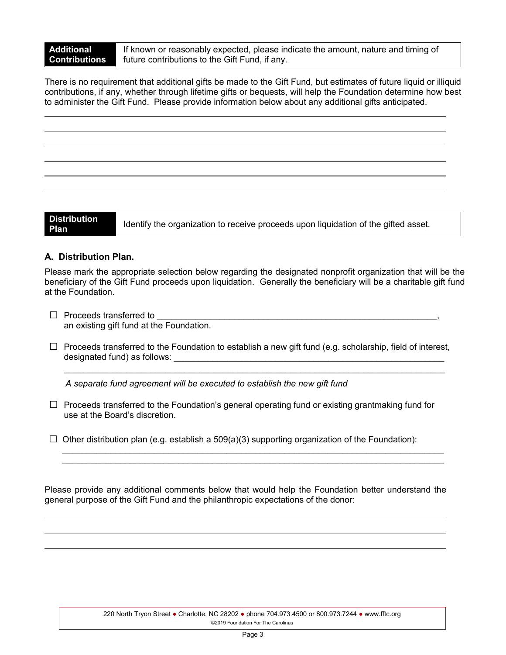If known or reasonably expected, please indicate the amount, nature and timing of future contributions to the Gift Fund, if any.

There is no requirement that additional gifts be made to the Gift Fund, but estimates of future liquid or illiquid contributions, if any, whether through lifetime gifts or bequests, will help the Foundation determine how best to administer the Gift Fund. Please provide information below about any additional gifts anticipated.

**Distribution** 

**Plan** Identify the organization to receive proceeds upon liquidation of the gifted asset.

# **A. Distribution Plan.**

Please mark the appropriate selection below regarding the designated nonprofit organization that will be the beneficiary of the Gift Fund proceeds upon liquidation. Generally the beneficiary will be a charitable gift fund at the Foundation.

- $\Box$  Proceeds transferred to an existing gift fund at the Foundation.
- $\Box$  Proceeds transferred to the Foundation to establish a new gift fund (e.g. scholarship, field of interest, designated fund) as follows:

 $\_$  ,  $\_$  ,  $\_$  ,  $\_$  ,  $\_$  ,  $\_$  ,  $\_$  ,  $\_$  ,  $\_$  ,  $\_$  ,  $\_$  ,  $\_$  ,  $\_$  ,  $\_$  ,  $\_$  ,  $\_$  ,  $\_$  ,  $\_$  ,  $\_$  ,  $\_$  ,  $\_$  ,  $\_$  ,  $\_$  ,  $\_$  ,  $\_$  ,  $\_$  ,  $\_$  ,  $\_$  ,  $\_$  ,  $\_$  ,  $\_$  ,  $\_$  ,  $\_$  ,  $\_$  ,  $\_$  ,  $\_$  ,  $\_$  ,

*A separate fund agreement will be executed to establish the new gift fund*

- $\Box$  Proceeds transferred to the Foundation's general operating fund or existing grantmaking fund for use at the Board's discretion.
- $\Box$  Other distribution plan (e.g. establish a 509(a)(3) supporting organization of the Foundation):

Please provide any additional comments below that would help the Foundation better understand the general purpose of the Gift Fund and the philanthropic expectations of the donor:

 $\_$  ,  $\_$  ,  $\_$  ,  $\_$  ,  $\_$  ,  $\_$  ,  $\_$  ,  $\_$  ,  $\_$  ,  $\_$  ,  $\_$  ,  $\_$  ,  $\_$  ,  $\_$  ,  $\_$  ,  $\_$  ,  $\_$  ,  $\_$  ,  $\_$  ,  $\_$  ,  $\_$  ,  $\_$  ,  $\_$  ,  $\_$  ,  $\_$  ,  $\_$  ,  $\_$  ,  $\_$  ,  $\_$  ,  $\_$  ,  $\_$  ,  $\_$  ,  $\_$  ,  $\_$  ,  $\_$  ,  $\_$  ,  $\_$  ,  $\_$  ,  $\_$  ,  $\_$  ,  $\_$  ,  $\_$  ,  $\_$  ,  $\_$  ,  $\_$  ,  $\_$  ,  $\_$  ,  $\_$  ,  $\_$  ,  $\_$  ,  $\_$  ,  $\_$  ,  $\_$  ,  $\_$  ,  $\_$  ,  $\_$  ,  $\_$  ,  $\_$  ,  $\_$  ,  $\_$  ,  $\_$  ,  $\_$  ,  $\_$  ,  $\_$  ,  $\_$  ,  $\_$  ,  $\_$  ,  $\_$  ,  $\_$  ,  $\_$  ,  $\_$  ,  $\_$  ,  $\_$  ,  $\_$  ,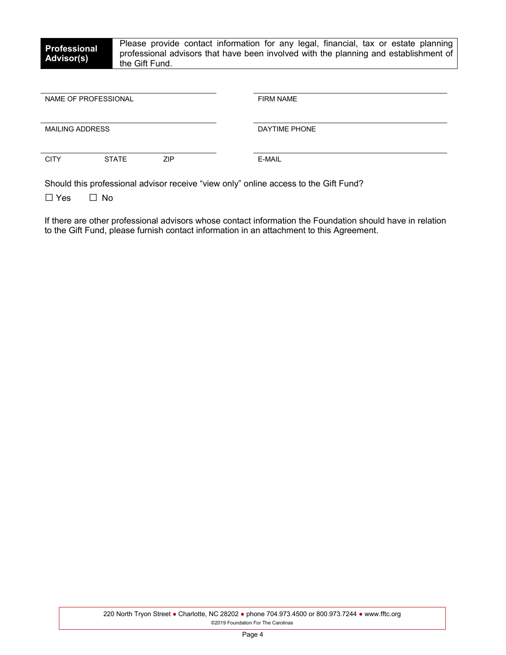| <b>Professional</b> | Please provide contact information for any legal, financial, tax or estate planning  |
|---------------------|--------------------------------------------------------------------------------------|
| <b>Advisor(s)</b>   | professional advisors that have been involved with the planning and establishment of |
|                     | the Gift Fund.                                                                       |

| NAME OF PROFESSIONAL   |              |            | <b>FIRM NAME</b> |
|------------------------|--------------|------------|------------------|
| <b>MAILING ADDRESS</b> |              |            | DAYTIME PHONE    |
| <b>CITY</b>            | <b>STATE</b> | <b>ZIP</b> | E-MAIL           |

Should this professional advisor receive "view only" online access to the Gift Fund?

□ Yes □ No

If there are other professional advisors whose contact information the Foundation should have in relation to the Gift Fund, please furnish contact information in an attachment to this Agreement.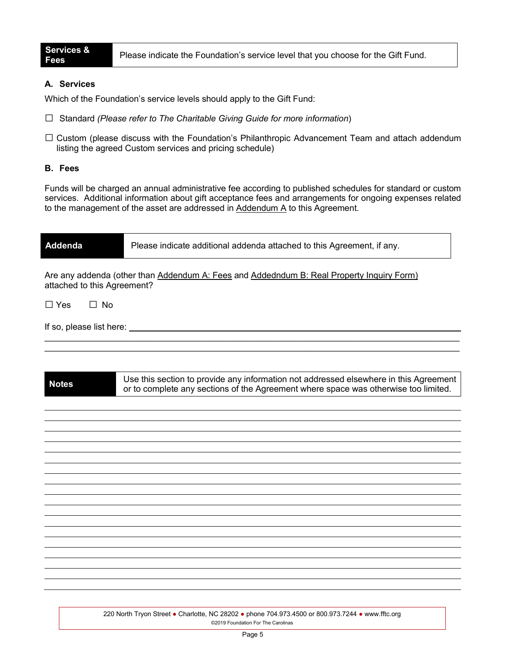**Fees** Please indicate the Foundation's service level that you choose for the Gift Fund.

# **A. Services**

Which of the Foundation's service levels should apply to the Gift Fund:

- □ Standard *(Please refer to The Charitable Giving Guide for more information*)
- $\square$  Custom (please discuss with the Foundation's Philanthropic Advancement Team and attach addendum listing the agreed Custom services and pricing schedule)

# **B. Fees**

Funds will be charged an annual administrative fee according to published schedules for standard or custom services. Additional information about gift acceptance fees and arrangements for ongoing expenses related to the management of the asset are addressed in  $A$ ddendum  $A$  to this Agreement.

| <b>Addenda</b>              | Please indicate additional addenda attached to this Agreement, if any.                                                                                                       |
|-----------------------------|------------------------------------------------------------------------------------------------------------------------------------------------------------------------------|
| attached to this Agreement? | Are any addenda (other than Addendum A: Fees and Addedndum B: Real Property Inquiry Form)                                                                                    |
| $\Box$ Yes $\Box$ No        |                                                                                                                                                                              |
|                             |                                                                                                                                                                              |
|                             |                                                                                                                                                                              |
| <b>Notes</b>                | Use this section to provide any information not addressed elsewhere in this Agreement<br>or to complete any sections of the Agreement where space was otherwise too limited. |
|                             |                                                                                                                                                                              |
|                             |                                                                                                                                                                              |
|                             |                                                                                                                                                                              |
|                             |                                                                                                                                                                              |
|                             |                                                                                                                                                                              |
|                             |                                                                                                                                                                              |
|                             |                                                                                                                                                                              |
|                             |                                                                                                                                                                              |
|                             |                                                                                                                                                                              |
|                             |                                                                                                                                                                              |

220 North Tryon Street ● Charlotte, NC 28202 ● phone 704.973.4500 or 800.973.7244 ● www.fftc.org ©2019 Foundation For The Carolinas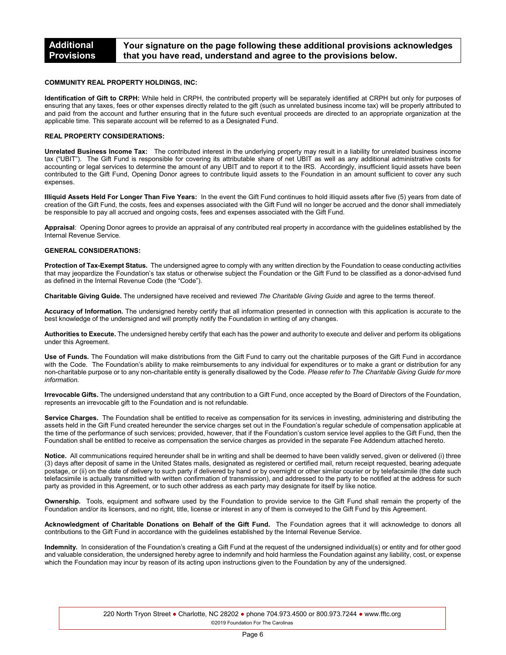#### **COMMUNITY REAL PROPERTY HOLDINGS, INC:**

**Identification of Gift to CRPH:** While held in CRPH, the contributed property will be separately identified at CRPH but only for purposes of ensuring that any taxes, fees or other expenses directly related to the gift (such as unrelated business income tax) will be properly attributed to and paid from the account and further ensuring that in the future such eventual proceeds are directed to an appropriate organization at the applicable time. This separate account will be referred to as a Designated Fund.

#### **REAL PROPERTY CONSIDERATIONS:**

**Unrelated Business Income Tax:** The contributed interest in the underlying property may result in a liability for unrelated business income tax ("UBIT"). The Gift Fund is responsible for covering its attributable share of net UBIT as well as any additional administrative costs for accounting or legal services to determine the amount of any UBIT and to report it to the IRS. Accordingly, insufficient liquid assets have been contributed to the Gift Fund, Opening Donor agrees to contribute liquid assets to the Foundation in an amount sufficient to cover any such expenses.

**Illiquid Assets Held For Longer Than Five Years:** In the event the Gift Fund continues to hold illiquid assets after five (5) years from date of creation of the Gift Fund, the costs, fees and expenses associated with the Gift Fund will no longer be accrued and the donor shall immediately be responsible to pay all accrued and ongoing costs, fees and expenses associated with the Gift Fund.

**Appraisal**: Opening Donor agrees to provide an appraisal of any contributed real property in accordance with the guidelines established by the Internal Revenue Service.

#### **GENERAL CONSIDERATIONS:**

**Protection of Tax-Exempt Status.** The undersigned agree to comply with any written direction by the Foundation to cease conducting activities that may jeopardize the Foundation's tax status or otherwise subject the Foundation or the Gift Fund to be classified as a donor-advised fund as defined in the Internal Revenue Code (the "Code").

**Charitable Giving Guide.** The undersigned have received and reviewed *The Charitable Giving Guide* and agree to the terms thereof.

**Accuracy of Information.** The undersigned hereby certify that all information presented in connection with this application is accurate to the best knowledge of the undersigned and will promptly notify the Foundation in writing of any changes.

**Authorities to Execute.** The undersigned hereby certify that each has the power and authority to execute and deliver and perform its obligations under this Agreement.

**Use of Funds.** The Foundation will make distributions from the Gift Fund to carry out the charitable purposes of the Gift Fund in accordance with the Code. The Foundation's ability to make reimbursements to any individual for expenditures or to make a grant or distribution for any non-charitable purpose or to any non-charitable entity is generally disallowed by the Code. *Please refer to The Charitable Giving Guide for more information.*

**Irrevocable Gifts.** The undersigned understand that any contribution to a Gift Fund, once accepted by the Board of Directors of the Foundation, represents an irrevocable gift to the Foundation and is not refundable.

**Service Charges.** The Foundation shall be entitled to receive as compensation for its services in investing, administering and distributing the assets held in the Gift Fund created hereunder the service charges set out in the Foundation's regular schedule of compensation applicable at the time of the performance of such services; provided, however, that if the Foundation's custom service level applies to the Gift Fund, then the Foundation shall be entitled to receive as compensation the service charges as provided in the separate Fee Addendum attached hereto.

**Notice.** All communications required hereunder shall be in writing and shall be deemed to have been validly served, given or delivered (i) three (3) days after deposit of same in the United States mails, designated as registered or certified mail, return receipt requested, bearing adequate postage, or (ii) on the date of delivery to such party if delivered by hand or by overnight or other similar courier or by telefacsimile (the date such telefacsimile is actually transmitted with written confirmation of transmission), and addressed to the party to be notified at the address for such party as provided in this Agreement, or to such other address as each party may designate for itself by like notice.

**Ownership.** Tools, equipment and software used by the Foundation to provide service to the Gift Fund shall remain the property of the Foundation and/or its licensors, and no right, title, license or interest in any of them is conveyed to the Gift Fund by this Agreement.

**Acknowledgment of Charitable Donations on Behalf of the Gift Fund.** The Foundation agrees that it will acknowledge to donors all contributions to the Gift Fund in accordance with the guidelines established by the Internal Revenue Service.

**Indemnity.** In consideration of the Foundation's creating a Gift Fund at the request of the undersigned individual(s) or entity and for other good and valuable consideration, the undersigned hereby agree to indemnify and hold harmless the Foundation against any liability, cost, or expense which the Foundation may incur by reason of its acting upon instructions given to the Foundation by any of the undersigned.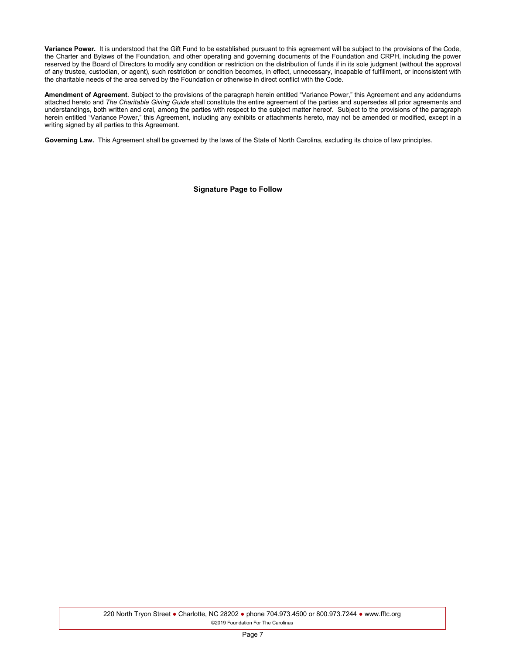**Variance Power.** It is understood that the Gift Fund to be established pursuant to this agreement will be subject to the provisions of the Code, the Charter and Bylaws of the Foundation, and other operating and governing documents of the Foundation and CRPH, including the power reserved by the Board of Directors to modify any condition or restriction on the distribution of funds if in its sole judgment (without the approval of any trustee, custodian, or agent), such restriction or condition becomes, in effect, unnecessary, incapable of fulfillment, or inconsistent with the charitable needs of the area served by the Foundation or otherwise in direct conflict with the Code.

**Amendment of Agreement**. Subject to the provisions of the paragraph herein entitled "Variance Power," this Agreement and any addendums attached hereto and *The Charitable Giving Guide* shall constitute the entire agreement of the parties and supersedes all prior agreements and understandings, both written and oral, among the parties with respect to the subject matter hereof. Subject to the provisions of the paragraph herein entitled "Variance Power," this Agreement, including any exhibits or attachments hereto, may not be amended or modified, except in a writing signed by all parties to this Agreement.

**Governing Law.** This Agreement shall be governed by the laws of the State of North Carolina, excluding its choice of law principles.

**Signature Page to Follow**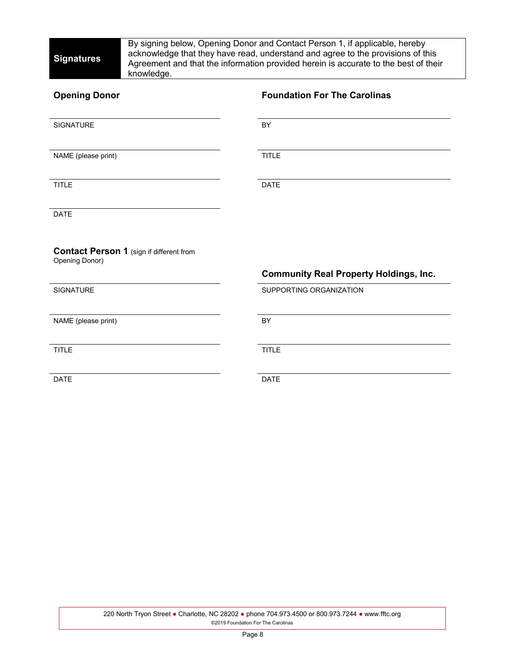By signing below, Opening Donor and Contact Person 1, if applicable, hereby acknowledge that they have read, understand and agree to the provisions of this Agreement and that the information provided herein is accurate to the best of their knowledge.

| <b>Opening Donor</b>                                              | <b>Foundation For The Carolinas</b>           |
|-------------------------------------------------------------------|-----------------------------------------------|
| SIGNATURE                                                         | BY                                            |
| NAME (please print)                                               | <b>TITLE</b>                                  |
| <b>TITLE</b>                                                      | <b>DATE</b>                                   |
| <b>DATE</b>                                                       |                                               |
| <b>Contact Person 1 (sign if different from</b><br>Opening Donor) | <b>Community Real Property Holdings, Inc.</b> |
| <b>SIGNATURE</b>                                                  | SUPPORTING ORGANIZATION                       |
| NAME (please print)                                               | BY                                            |
| <b>TITLE</b>                                                      | <b>TITLE</b>                                  |
| <b>DATE</b>                                                       | <b>DATE</b>                                   |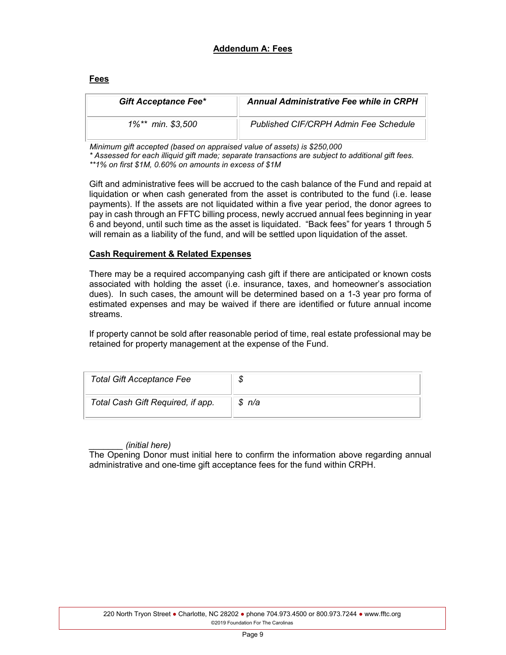# **Addendum A: Fees**

### **Fees**

| <b>Gift Acceptance Fee*</b> | <b>Annual Administrative Fee while in CRPH</b> |
|-----------------------------|------------------------------------------------|
| 1%** min. \$3,500           | Published CIF/CRPH Admin Fee Schedule          |

 *Minimum gift accepted (based on appraised value of assets) is \$250,000*

*\* Assessed for each illiquid gift made; separate transactions are subject to additional gift fees.* 

*\*\*1% on first \$1M, 0.60% on amounts in excess of \$1M*

Gift and administrative fees will be accrued to the cash balance of the Fund and repaid at liquidation or when cash generated from the asset is contributed to the fund (i.e. lease payments). If the assets are not liquidated within a five year period, the donor agrees to pay in cash through an FFTC billing process, newly accrued annual fees beginning in year 6 and beyond, until such time as the asset is liquidated. "Back fees" for years 1 through 5 will remain as a liability of the fund, and will be settled upon liquidation of the asset.

# **Cash Requirement & Related Expenses**

There may be a required accompanying cash gift if there are anticipated or known costs associated with holding the asset (i.e. insurance, taxes, and homeowner's association dues). In such cases, the amount will be determined based on a 1-3 year pro forma of estimated expenses and may be waived if there are identified or future annual income streams.

If property cannot be sold after reasonable period of time, real estate professional may be retained for property management at the expense of the Fund.

| <b>Total Gift Acceptance Fee</b>  | Φ      |
|-----------------------------------|--------|
| Total Cash Gift Required, if app. | \$ n/a |

# *\_\_\_\_\_\_\_ (initial here)*

The Opening Donor must initial here to confirm the information above regarding annual administrative and one-time gift acceptance fees for the fund within CRPH.